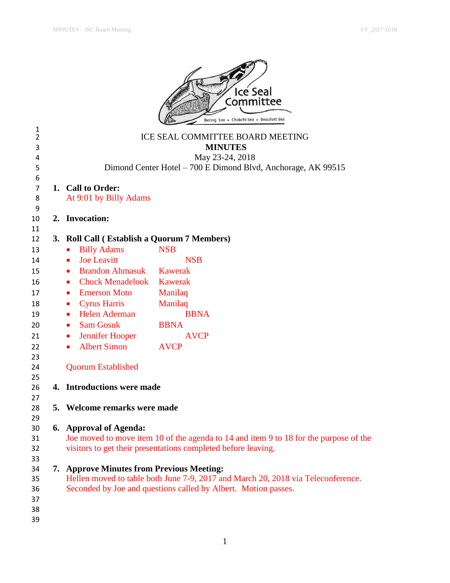

|                                |                                             | 55.09                                                                                 |
|--------------------------------|---------------------------------------------|---------------------------------------------------------------------------------------|
| $\mathbf{1}$<br>$\overline{2}$ |                                             | ICE SEAL COMMITTEE BOARD MEETING                                                      |
| 3                              |                                             | <b>MINUTES</b>                                                                        |
| 4                              |                                             | May 23-24, 2018                                                                       |
| 5                              |                                             | Dimond Center Hotel - 700 E Dimond Blvd, Anchorage, AK 99515                          |
| 6                              |                                             |                                                                                       |
| $\overline{7}$                 | 1. Call to Order:                           |                                                                                       |
| 8                              | At 9:01 by Billy Adams                      |                                                                                       |
| 9                              |                                             |                                                                                       |
| 10                             | 2. Invocation:                              |                                                                                       |
| 11                             |                                             |                                                                                       |
| 12                             | 3. Roll Call (Establish a Quorum 7 Members) |                                                                                       |
| 13                             | <b>Billy Adams</b><br>$\bullet$             | <b>NSB</b>                                                                            |
| 14                             | <b>Joe Leavitt</b><br>$\bullet$             | <b>NSB</b>                                                                            |
| 15                             | <b>Brandon Ahmasuk</b><br>$\bullet$         | Kawerak                                                                               |
| 16                             | <b>Chuck Menadelook</b><br>$\bullet$        | <b>Kawerak</b>                                                                        |
| 17                             | <b>Emerson Moto</b><br>$\bullet$            | Manilaq                                                                               |
| 18                             | <b>Cyrus Harris</b><br>$\bullet$            | Manilaq                                                                               |
| 19                             | • Helen Aderman                             | <b>BBNA</b>                                                                           |
| 20                             | <b>Sam Gosuk</b><br>$\bullet$               | <b>BBNA</b>                                                                           |
| 21                             | Jennifer Hooper<br>$\bullet$                | <b>AVCP</b>                                                                           |
| 22                             | <b>Albert Simon</b><br>$\bullet$            | <b>AVCP</b>                                                                           |
| 23                             |                                             |                                                                                       |
| 24                             | <b>Quorum Established</b>                   |                                                                                       |
| 25                             |                                             |                                                                                       |
| 26                             | 4. Introductions were made                  |                                                                                       |
| 27                             |                                             |                                                                                       |
| 28                             | 5. Welcome remarks were made                |                                                                                       |
| 29                             |                                             |                                                                                       |
| 30                             | 6. Approval of Agenda:                      |                                                                                       |
| 31                             |                                             | Joe moved to move item 10 of the agenda to 14 and item 9 to 18 for the purpose of the |
| 32                             |                                             | visitors to get their presentations completed before leaving.                         |
| 33                             |                                             |                                                                                       |
| 34                             | 7. Approve Minutes from Previous Meeting:   |                                                                                       |
| 35                             |                                             | Hellen moved to table both June 7-9, 2017 and March 20, 2018 via Teleconference.      |
| 36                             |                                             | Seconded by Joe and questions called by Albert. Motion passes.                        |
| 37                             |                                             |                                                                                       |
| 38                             |                                             |                                                                                       |
| 39                             |                                             |                                                                                       |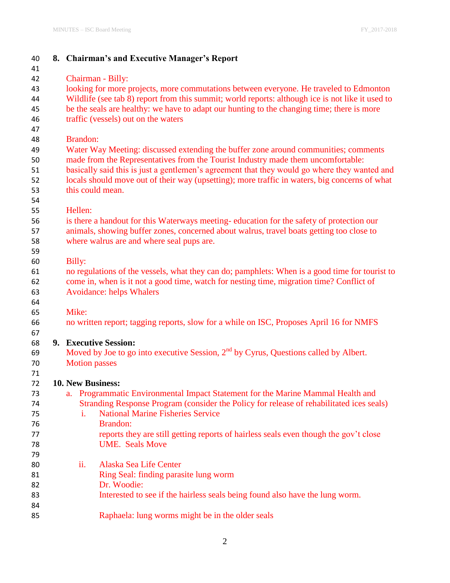| 40       |                          | 8. Chairman's and Executive Manager's Report                                                                                         |
|----------|--------------------------|--------------------------------------------------------------------------------------------------------------------------------------|
| 41       |                          |                                                                                                                                      |
| 42       |                          | Chairman - Billy:                                                                                                                    |
| 43       |                          | looking for more projects, more commutations between everyone. He traveled to Edmonton                                               |
| 44       |                          | Wildlife (see tab 8) report from this summit; world reports: although ice is not like it used to                                     |
| 45       |                          | be the seals are healthy: we have to adapt our hunting to the changing time; there is more                                           |
| 46       |                          | traffic (vessels) out on the waters                                                                                                  |
| 47       |                          |                                                                                                                                      |
| 48       | <b>Brandon:</b>          |                                                                                                                                      |
| 49       |                          | Water Way Meeting: discussed extending the buffer zone around communities; comments                                                  |
| 50       |                          | made from the Representatives from the Tourist Industry made them uncomfortable:                                                     |
| 51       |                          | basically said this is just a gentlemen's agreement that they would go where they wanted and                                         |
| 52       |                          | locals should move out of their way (upsetting); more traffic in waters, big concerns of what                                        |
| 53       | this could mean.         |                                                                                                                                      |
| 54       |                          |                                                                                                                                      |
| 55       | Hellen:                  |                                                                                                                                      |
| 56       |                          | is there a handout for this Waterways meeting-education for the safety of protection our                                             |
| 57       |                          | animals, showing buffer zones, concerned about walrus, travel boats getting too close to                                             |
| 58       |                          | where walrus are and where seal pups are.                                                                                            |
| 59       |                          |                                                                                                                                      |
| 60       | Billy:                   |                                                                                                                                      |
| 61       |                          | no regulations of the vessels, what they can do; pamphlets: When is a good time for tourist to                                       |
| 62       |                          | come in, when is it not a good time, watch for nesting time, migration time? Conflict of                                             |
| 63       |                          | <b>Avoidance: helps Whalers</b>                                                                                                      |
| 64       |                          |                                                                                                                                      |
| 65       | Mike:                    |                                                                                                                                      |
| 66       |                          | no written report; tagging reports, slow for a while on ISC, Proposes April 16 for NMFS                                              |
| 67       |                          |                                                                                                                                      |
| 68       |                          | 9. Executive Session:                                                                                                                |
| 69       |                          | Moved by Joe to go into executive Session, 2 <sup>nd</sup> by Cyrus, Questions called by Albert.                                     |
| 70       | <b>Motion</b> passes     |                                                                                                                                      |
| 71       |                          |                                                                                                                                      |
| 72       | <b>10. New Business:</b> |                                                                                                                                      |
| 73       |                          | a. Programmatic Environmental Impact Statement for the Marine Mammal Health and                                                      |
| 74       | i.                       | Stranding Response Program (consider the Policy for release of rehabilitated ices seals)<br><b>National Marine Fisheries Service</b> |
| 75       |                          | Brandon:                                                                                                                             |
| 76       |                          |                                                                                                                                      |
| 77       |                          | reports they are still getting reports of hairless seals even though the gov't close<br><b>UME.</b> Seals Move                       |
| 78       |                          |                                                                                                                                      |
| 79<br>80 | ii.                      | Alaska Sea Life Center                                                                                                               |
|          |                          |                                                                                                                                      |
| 81<br>82 |                          | Ring Seal: finding parasite lung worm<br>Dr. Woodie:                                                                                 |
| 83       |                          | Interested to see if the hairless seals being found also have the lung worm.                                                         |
| 84       |                          |                                                                                                                                      |
| 85       |                          | Raphaela: lung worms might be in the older seals                                                                                     |
|          |                          |                                                                                                                                      |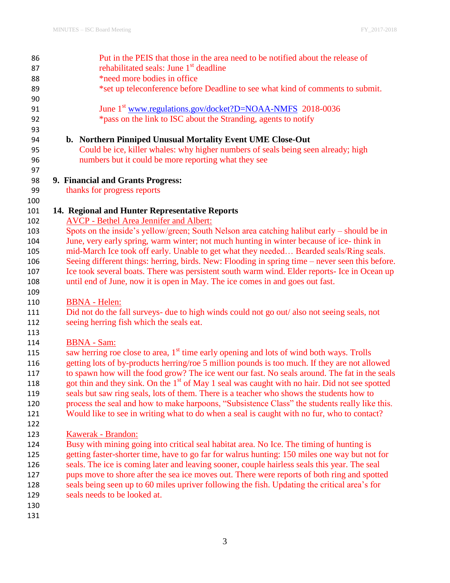| 86  | Put in the PEIS that those in the area need to be notified about the release of                           |
|-----|-----------------------------------------------------------------------------------------------------------|
| 87  | rehabilitated seals: June 1 <sup>st</sup> deadline                                                        |
| 88  | *need more bodies in office                                                                               |
| 89  | *set up teleconference before Deadline to see what kind of comments to submit.                            |
| 90  |                                                                                                           |
| 91  | June 1 <sup>st</sup> www.regulations.gov/docket?D=NOAA-NMFS 2018-0036                                     |
| 92  | *pass on the link to ISC about the Stranding, agents to notify                                            |
| 93  |                                                                                                           |
| 94  | b. Northern Pinniped Unusual Mortality Event UME Close-Out                                                |
| 95  | Could be ice, killer whales: why higher numbers of seals being seen already; high                         |
| 96  | numbers but it could be more reporting what they see                                                      |
| 97  |                                                                                                           |
| 98  | 9. Financial and Grants Progress:                                                                         |
| 99  | thanks for progress reports                                                                               |
| 100 |                                                                                                           |
| 101 | 14. Regional and Hunter Representative Reports                                                            |
| 102 | <b>AVCP - Bethel Area Jennifer and Albert:</b>                                                            |
| 103 | Spots on the inside's yellow/green; South Nelson area catching halibut early – should be in               |
| 104 | June, very early spring, warm winter; not much hunting in winter because of ice-think in                  |
| 105 | mid-March Ice took off early. Unable to get what they needed Bearded seals/Ring seals.                    |
| 106 | Seeing different things: herring, birds. New: Flooding in spring time – never seen this before.           |
| 107 | Ice took several boats. There was persistent south warm wind. Elder reports- Ice in Ocean up              |
| 108 | until end of June, now it is open in May. The ice comes in and goes out fast.                             |
| 109 |                                                                                                           |
| 110 | <b>BBNA</b> - Helen:                                                                                      |
| 111 | Did not do the fall surveys- due to high winds could not go out/ also not seeing seals, not               |
| 112 | seeing herring fish which the seals eat.                                                                  |
| 113 |                                                                                                           |
| 114 | <b>BBNA</b> - Sam:                                                                                        |
| 115 | saw herring roe close to area, 1 <sup>st</sup> time early opening and lots of wind both ways. Trolls      |
| 116 | getting lots of by-products herring/roe 5 million pounds is too much. If they are not allowed             |
| 117 | to spawn how will the food grow? The ice went our fast. No seals around. The fat in the seals             |
| 118 | got thin and they sink. On the 1 <sup>st</sup> of May 1 seal was caught with no hair. Did not see spotted |
| 119 | seals but saw ring seals, lots of them. There is a teacher who shows the students how to                  |
| 120 | process the seal and how to make harpoons, "Subsistence Class" the students really like this.             |
| 121 | Would like to see in writing what to do when a seal is caught with no fur, who to contact?                |
| 122 |                                                                                                           |
| 123 | Kawerak - Brandon:                                                                                        |
| 124 | Busy with mining going into critical seal habitat area. No Ice. The timing of hunting is                  |
| 125 | getting faster-shorter time, have to go far for walrus hunting: 150 miles one way but not for             |
| 126 | seals. The ice is coming later and leaving sooner, couple hairless seals this year. The seal              |
| 127 | pups move to shore after the sea ice moves out. There were reports of both ring and spotted               |
| 128 | seals being seen up to 60 miles upriver following the fish. Updating the critical area's for              |
| 129 | seals needs to be looked at.                                                                              |
| 130 |                                                                                                           |
| 131 |                                                                                                           |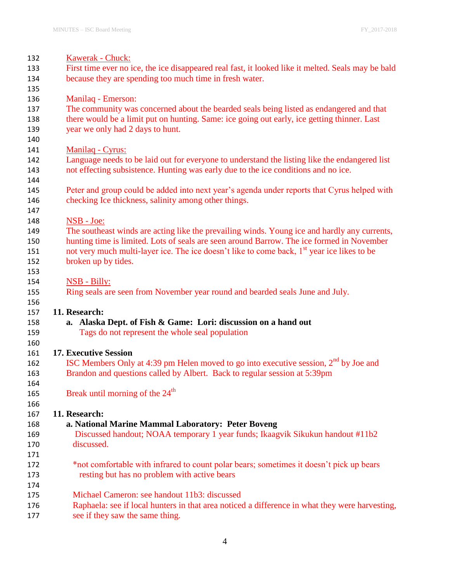| 132 | Kawerak - Chuck:                                                                                       |
|-----|--------------------------------------------------------------------------------------------------------|
| 133 | First time ever no ice, the ice disappeared real fast, it looked like it melted. Seals may be bald     |
| 134 | because they are spending too much time in fresh water.                                                |
| 135 |                                                                                                        |
| 136 | Manilaq - Emerson:                                                                                     |
| 137 | The community was concerned about the bearded seals being listed as endangered and that                |
| 138 | there would be a limit put on hunting. Same: ice going out early, ice getting thinner. Last            |
| 139 | year we only had 2 days to hunt.                                                                       |
| 140 |                                                                                                        |
| 141 | Manilaq - Cyrus:                                                                                       |
| 142 | Language needs to be laid out for everyone to understand the listing like the endangered list          |
| 143 | not effecting subsistence. Hunting was early due to the ice conditions and no ice.                     |
| 144 |                                                                                                        |
| 145 | Peter and group could be added into next year's agenda under reports that Cyrus helped with            |
| 146 | checking Ice thickness, salinity among other things.                                                   |
| 147 |                                                                                                        |
| 148 | NSB - Joe:                                                                                             |
| 149 | The southeast winds are acting like the prevailing winds. Young ice and hardly any currents,           |
| 150 | hunting time is limited. Lots of seals are seen around Barrow. The ice formed in November              |
| 151 | not very much multi-layer ice. The ice doesn't like to come back, 1 <sup>st</sup> year ice likes to be |
| 152 | broken up by tides.                                                                                    |
| 153 |                                                                                                        |
| 154 | <b>NSB - Billy:</b>                                                                                    |
| 155 | Ring seals are seen from November year round and bearded seals June and July.                          |
| 156 |                                                                                                        |
| 157 | 11. Research:                                                                                          |
| 158 | Alaska Dept. of Fish & Game: Lori: discussion on a hand out<br>a.                                      |
| 159 | Tags do not represent the whole seal population                                                        |
| 160 |                                                                                                        |
| 161 | <b>17. Executive Session</b>                                                                           |
| 162 | ISC Members Only at 4:39 pm Helen moved to go into executive session, $2nd$ by Joe and                 |
| 163 | Brandon and questions called by Albert. Back to regular session at 5:39pm                              |
| 164 |                                                                                                        |
| 165 | Break until morning of the 24 <sup>th</sup>                                                            |
| 166 |                                                                                                        |
| 167 | 11. Research:                                                                                          |
| 168 | a. National Marine Mammal Laboratory: Peter Boveng                                                     |
| 169 | Discussed handout; NOAA temporary 1 year funds; Ikaagvik Sikukun handout #11b2                         |
| 170 | discussed.                                                                                             |
| 171 |                                                                                                        |
| 172 | *not comfortable with infrared to count polar bears; sometimes it doesn't pick up bears                |
| 173 | resting but has no problem with active bears                                                           |
| 174 |                                                                                                        |
| 175 | Michael Cameron: see handout 11b3: discussed                                                           |
| 176 | Raphaela: see if local hunters in that area noticed a difference in what they were harvesting,         |
| 177 | see if they saw the same thing.                                                                        |
|     |                                                                                                        |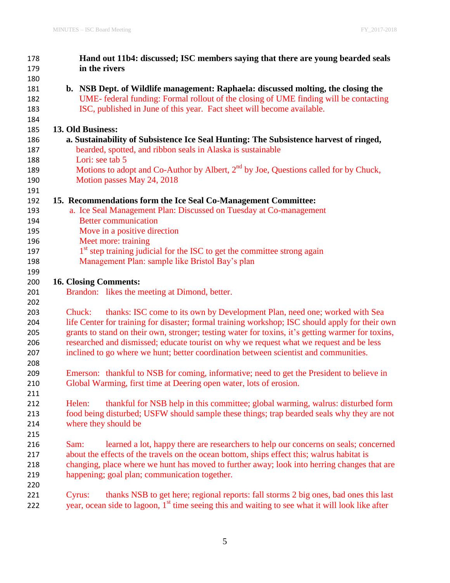| 178 | Hand out 11b4: discussed; ISC members saying that there are young bearded seals                              |
|-----|--------------------------------------------------------------------------------------------------------------|
| 179 | in the rivers                                                                                                |
| 180 |                                                                                                              |
| 181 | b. NSB Dept. of Wildlife management: Raphaela: discussed molting, the closing the                            |
| 182 | UME-federal funding: Formal rollout of the closing of UME finding will be contacting                         |
| 183 | ISC, published in June of this year. Fact sheet will become available.                                       |
| 184 |                                                                                                              |
| 185 | 13. Old Business:                                                                                            |
| 186 | a. Sustainability of Subsistence Ice Seal Hunting: The Subsistence harvest of ringed,                        |
| 187 | bearded, spotted, and ribbon seals in Alaska is sustainable                                                  |
| 188 | Lori: see tab 5                                                                                              |
| 189 | Motions to adopt and Co-Author by Albert, 2 <sup>nd</sup> by Joe, Questions called for by Chuck,             |
| 190 | Motion passes May 24, 2018                                                                                   |
| 191 |                                                                                                              |
| 192 | 15. Recommendations form the Ice Seal Co-Management Committee:                                               |
| 193 | a. Ice Seal Management Plan: Discussed on Tuesday at Co-management                                           |
| 194 | <b>Better communication</b>                                                                                  |
| 195 | Move in a positive direction                                                                                 |
| 196 | Meet more: training                                                                                          |
| 197 | 1 <sup>st</sup> step training judicial for the ISC to get the committee strong again                         |
| 198 | Management Plan: sample like Bristol Bay's plan                                                              |
| 199 |                                                                                                              |
| 200 | <b>16. Closing Comments:</b>                                                                                 |
| 201 | Brandon: likes the meeting at Dimond, better.                                                                |
| 202 |                                                                                                              |
| 203 | thanks: ISC come to its own by Development Plan, need one; worked with Sea<br>Chuck:                         |
| 204 | life Center for training for disaster; formal training workshop; ISC should apply for their own              |
| 205 | grants to stand on their own, stronger; testing water for toxins, it's getting warmer for toxins,            |
| 206 | researched and dismissed; educate tourist on why we request what we request and be less                      |
| 207 | inclined to go where we hunt; better coordination between scientist and communities.                         |
| 208 |                                                                                                              |
| 209 | Emerson: thankful to NSB for coming, informative; need to get the President to believe in                    |
| 210 | Global Warming, first time at Deering open water, lots of erosion.                                           |
| 211 |                                                                                                              |
| 212 | thankful for NSB help in this committee; global warming, walrus: disturbed form<br>Helen:                    |
| 213 | food being disturbed; USFW should sample these things; trap bearded seals why they are not                   |
| 214 | where they should be                                                                                         |
| 215 |                                                                                                              |
| 216 | learned a lot, happy there are researchers to help our concerns on seals; concerned<br>Sam:                  |
| 217 | about the effects of the travels on the ocean bottom, ships effect this; walrus habitat is                   |
| 218 | changing, place where we hunt has moved to further away; look into herring changes that are                  |
| 219 | happening; goal plan; communication together.                                                                |
| 220 |                                                                                                              |
| 221 | thanks NSB to get here; regional reports: fall storms 2 big ones, bad ones this last<br>Cyrus:               |
| 222 | year, ocean side to lagoon, 1 <sup>st</sup> time seeing this and waiting to see what it will look like after |
|     |                                                                                                              |